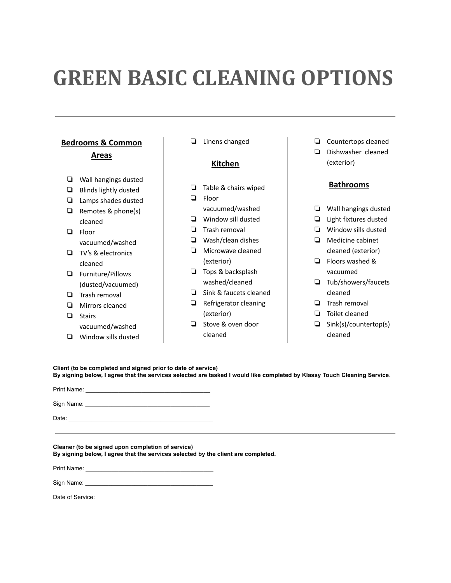# **GREEN BASIC CLEANING OPTIONS**

# **Bedrooms & Common**

## **Areas**

- ❏ Wall hangings dusted
- ❏ Blinds lightly dusted
- ❏ Lamps shades dusted
- ❏ Remotes & phone(s) cleaned
- ❏ Floor
- vacuumed/washed ❏ TV's & electronics
- cleaned
- ❏ Furniture/Pillows (dusted/vacuumed)
- ❏ Trash removal
- ❏ Mirrors cleaned
- ❏ Stairs vacuumed/washed
- ❏ Window sills dusted

❏ Linens changed

# **Kitchen**

- ❏ Table & chairs wiped
- ❏ Floor
	- vacuumed/washed
- ❏ Window sill dusted
- ❏ Trash removal
- ❏ Wash/clean dishes
- ❏ Microwave cleaned (exterior)
- ❏ Tops & backsplash washed/cleaned
- ❏ Sink & faucets cleaned
- ❏ Refrigerator cleaning (exterior)
- ❏ Stove & oven door cleaned
- ❏ Countertops cleaned
- ❏ Dishwasher cleaned (exterior)

# **Bathrooms**

- ❏ Wall hangings dusted
- ❏ Light fixtures dusted
- ❏ Window sills dusted
- ❏ Medicine cabinet cleaned (exterior)
- ❏ Floors washed & vacuumed
- ❏ Tub/showers/faucets cleaned
- ❏ Trash removal
- ❏ Toilet cleaned
- ❏ Sink(s)/countertop(s) cleaned

**Client (to be completed and signed prior to date of service)** By signing below, I agree that the services selected are tasked I would like completed by Klassy Touch Cleaning Service.

Print Name: Sign Name: \_\_\_\_\_\_\_\_\_\_\_\_\_\_\_\_\_\_\_\_\_\_\_\_\_\_\_\_\_\_\_\_\_\_\_\_\_\_

Date:

**Cleaner (to be signed upon completion of service) By signing below, I agree that the services selected by the client are completed.**

Print Name:

Sign Name:

Date of Service: \_\_\_\_\_\_\_\_\_\_\_\_\_\_\_\_\_\_\_\_\_\_\_\_\_\_\_\_\_\_\_\_\_\_\_\_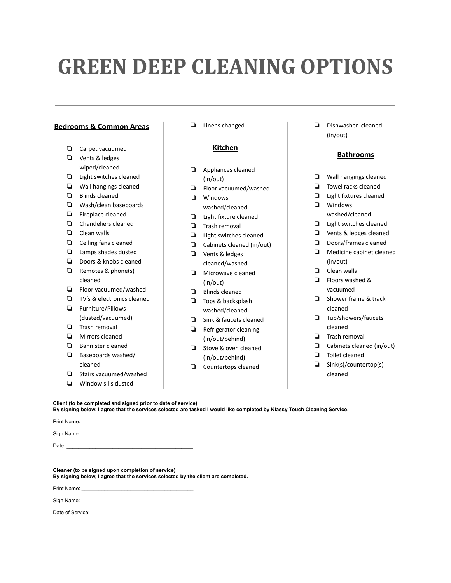# **GREEN DEEP CLEANING OPTIONS**

## **Bedrooms & Common Areas**

- ❏ Carpet vacuumed
- ❏ Vents & ledges wiped/cleaned
- ❏ Light switches cleaned
- ❏ Wall hangings cleaned
- ❏ Blinds cleaned
- ❏ Wash/clean baseboards
- ❏ Fireplace cleaned
- ❏ Chandeliers cleaned
- ❏ Clean walls
- ❏ Ceiling fans cleaned
- ❏ Lamps shades dusted
- ❏ Doors & knobs cleaned
- ❏ Remotes & phone(s) cleaned
- ❏ Floor vacuumed/washed
- ❏ TV's & electronics cleaned
- ❏ Furniture/Pillows (dusted/vacuumed)
- ❏ Trash removal
- ❏ Mirrors cleaned
- ❏ Bannister cleaned
- ❏ Baseboards washed/ cleaned
- ❏ Stairs vacuumed/washed
- ❏ Window sills dusted

❏ Linens changed

## **Kitchen**

- ❏ Appliances cleaned (in/out)
- ❏ Floor vacuumed/washed
- ❏ Windows washed/cleaned
- ❏ Light fixture cleaned
- ❏ Trash removal
- ❏ Light switches cleaned
- ❏ Cabinets cleaned (in/out)
- ❏ Vents & ledges cleaned/washed
- ❏ Microwave cleaned (in/out)
- ❏ Blinds cleaned
- ❏ Tops & backsplash washed/cleaned
- ❏ Sink & faucets cleaned
- ❏ Refrigerator cleaning (in/out/behind)
- ❏ Stove & oven cleaned (in/out/behind)
- ❏ Countertops cleaned

❏ Dishwasher cleaned (in/out)

### **Bathrooms**

- ❏ Wall hangings cleaned
- ❏ Towel racks cleaned
- ❏ Light fixtures cleaned
- ❏ Windows washed/cleaned
- ❏ Light switches cleaned
- ❏ Vents & ledges cleaned
- ❏ Doors/frames cleaned
- ❏ Medicine cabinet cleaned (in/out)
- ❏ Clean walls
- ❏ Floors washed & vacuumed
- ❏ Shower frame & track cleaned
- ❏ Tub/showers/faucets cleaned
- ❏ Trash removal
- ❏ Cabinets cleaned (in/out)
- ❏ Toilet cleaned
- ❏ Sink(s)/countertop(s) cleaned

### **Client (to be completed and signed prior to date of service)**

By signing below, I agree that the services selected are tasked I would like completed by Klassy Touch Cleaning Service.

Print Name: Sign Name: Date: \_\_\_\_\_\_\_\_\_\_\_\_\_\_\_\_\_\_\_\_\_\_\_\_\_\_\_\_\_\_\_\_\_\_\_\_\_\_\_\_\_\_\_\_

**Cleaner (to be signed upon completion of service) By signing below, I agree that the services selected by the client are completed.**

Print Name:

Sign Name:

Date of Service: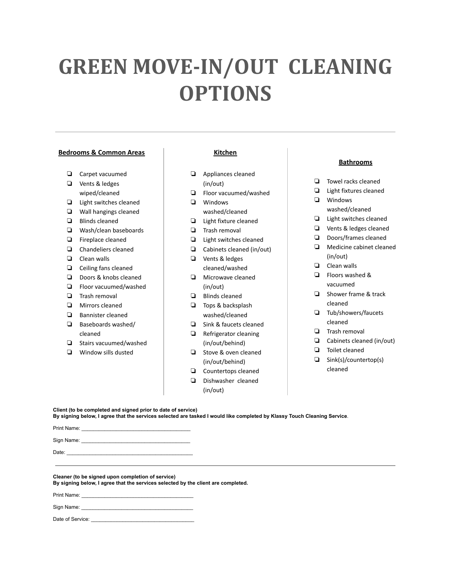# **GREEN MOVE-IN/OUT CLEANING OPTIONS**

### **Bedrooms & Common Areas**

- ❏ Carpet vacuumed
- ❏ Vents & ledges wiped/cleaned
- ❏ Light switches cleaned
- ❏ Wall hangings cleaned
- ❏ Blinds cleaned
- ❏ Wash/clean baseboards
- ❏ Fireplace cleaned
- ❏ Chandeliers cleaned
- ❏ Clean walls
- ❏ Ceiling fans cleaned
- ❏ Doors & knobs cleaned
- ❏ Floor vacuumed/washed
- ❏ Trash removal
- ❏ Mirrors cleaned
- ❏ Bannister cleaned
- ❏ Baseboards washed/ cleaned
- ❏ Stairs vacuumed/washed
- ❏ Window sills dusted

### **Kitchen**

- ❏ Appliances cleaned (in/out)
- ❏ Floor vacuumed/washed
- ❏ Windows washed/cleaned
- ❏ Light fixture cleaned
- ❏ Trash removal
- ❏ Light switches cleaned
- ❏ Cabinets cleaned (in/out)
- ❏ Vents & ledges cleaned/washed
- ❏ Microwave cleaned (in/out)
- ❏ Blinds cleaned
- ❏ Tops & backsplash washed/cleaned
- ❏ Sink & faucets cleaned
- ❏ Refrigerator cleaning (in/out/behind)
- ❏ Stove & oven cleaned (in/out/behind)
- ❏ Countertops cleaned
- ❏ Dishwasher cleaned
	- (in/out)

### **Bathrooms**

- ❏ Towel racks cleaned
- ❏ Light fixtures cleaned ❏ Windows
- washed/cleaned
- ❏ Light switches cleaned
- ❏ Vents & ledges cleaned
- ❏ Doors/frames cleaned
- ❏ Medicine cabinet cleaned (in/out)
- ❏ Clean walls
- ❏ Floors washed & vacuumed
- ❏ Shower frame & track cleaned
- ❏ Tub/showers/faucets cleaned
- ❏ Trash removal
- ❏ Cabinets cleaned (in/out)
- ❏ Toilet cleaned
- ❏ Sink(s)/countertop(s) cleaned

**Client (to be completed and signed prior to date of service)**

By signing below, I agree that the services selected are tasked I would like completed by Klassy Touch Cleaning Service.

Print Name:

Sign Name:

Date: \_\_\_\_\_\_\_\_\_\_\_\_\_\_\_\_\_\_\_\_\_\_\_\_\_\_\_\_\_\_\_\_\_\_\_\_\_\_\_\_\_\_\_\_

**Cleaner (to be signed upon completion of service)**

**By signing below, I agree that the services selected by the client are completed.**

Print Name:

Sign Name:

Date of Service: